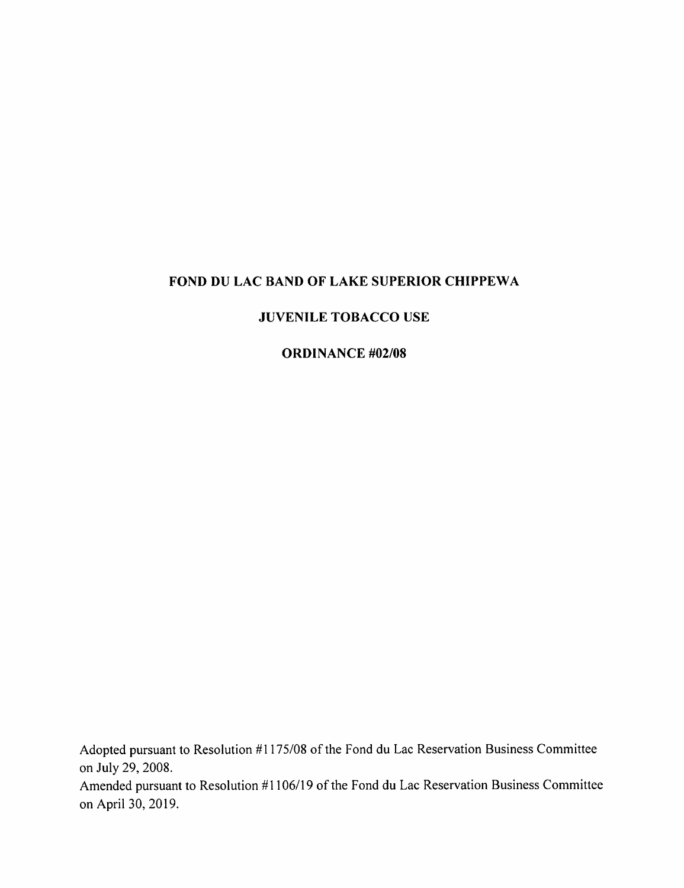### FOND DU LAC BAND OF LAKE SUPERIOR CHIPPEWA

#### JUVENILE TOBACCO USE

#### ORDINANCE #02/08

Adopted pursuant to Resolution #1175/08 of the Fond du Lac Reservation Business Committee on July 29, 2008. Amended pursuant to Resolution #1106/19 of the Fond du Lac Reservation Business Committee

on April 30, 2019.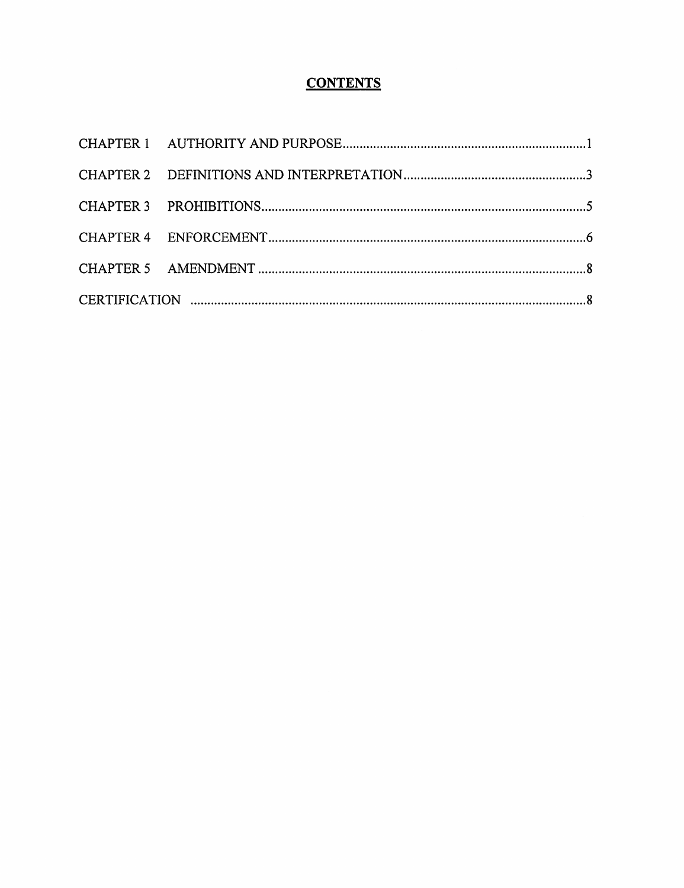# **CONTENTS**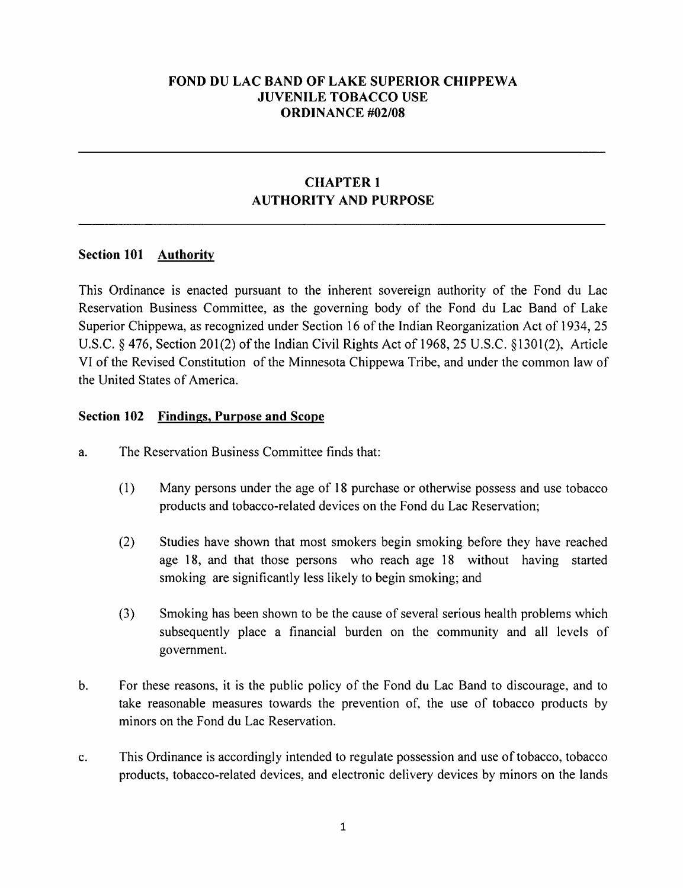### FOND DU LAC BAND OF LAKE SUPERIOR CHIPPEWA JUVENILE TOBACCO USE ORDINANCE #02/08

### CHAPTER 1 AUTHORITY AND PURPOSE

### Section 101 Authority

This Ordinance is enacted pursuant to the inherent sovereign authority of the Fond du Lac Reservation Business Committee, as the governing body of the Fond du Lac Band of Lake Superior Chippewa, as recognized under Section 16 of the Indian Reorganization Act of 1934, 25 U.S.C.  $\&$  476, Section 201(2) of the Indian Civil Rights Act of 1968, 25 U.S.C.  $\&$  1301(2), Article VI of the Revised Constitution ofthe Minnesota Chippewa Tribe, and under the common law of the United States of America.

#### Section 102 Findings, Purpose and Scope

- a. The Reservation Business Committee finds that:
	- (1) Many persons under the age of IS purchase or otherwise possess and use tobacco products and tobacco-related devices on the Fond du Lac Reservation;
	- (2) Studies have shown that most smokers begin smoking before they have reached age 18, and that those persons who reach age 18 without having started smoking are significantly less likely to begin smoking; and
	- (3) Smoking has been shown to be the cause of several serious health problems which subsequently place a financial burden on the community and all levels of government.
- b. For these reasons, it is the public policy of the Fond du Lac Band to discourage, and to take reasonable measures towards the prevention of, the use of tobacco products by minors on the Fond du Lac Reservation.
- c. This Ordinance is accordingly intended to regulate possession and use oftobacco, tobacco products, tobacco-related devices, and electronic delivery devices by minors on the lands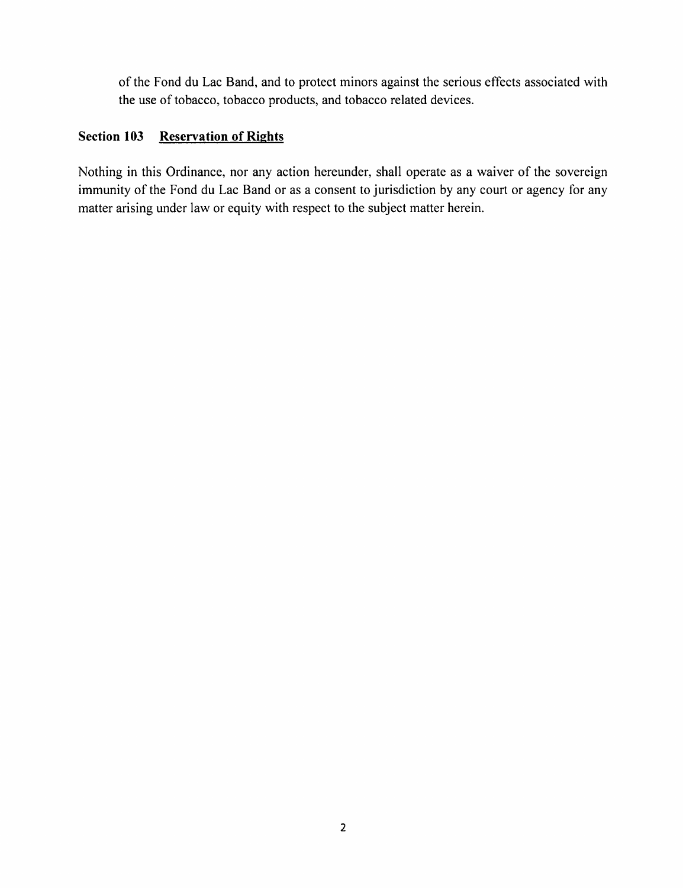of the Fond du Lac Band, and to protect minors against the serious effects associated with the use of tobacco, tobacco products, and tobacco related devices.

# Section 103 Reservation of Rights

Nothing in this Ordinance, nor any action hereunder, shall operate as a waiver of the sovereign immunity of the Fond du Lac Band or as a consent to jurisdiction by any court or agency for any matter arising under law or equity with respect to the subject matter herein.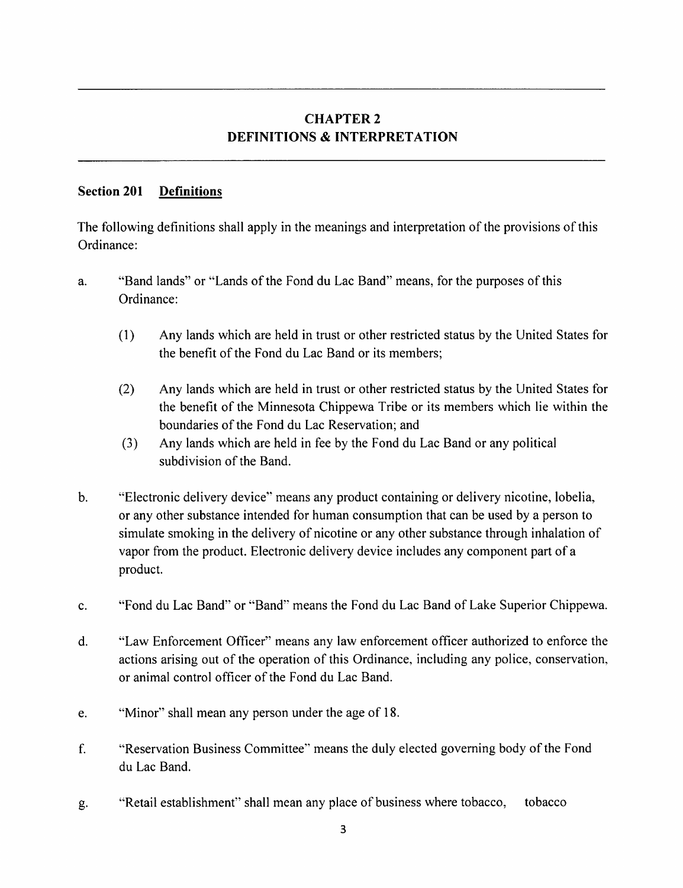### CHAPTER <sup>2</sup> DEFINITIONS & INTERPRETATION

### Section 201 Definitions

The following definitions shall apply in the meanings and interpretation of the provisions of this Ordinance:

- a. "Band lands" or "Lands of the Fond du Lac Band" means, for the purposes of this Ordinance:
	- (1) Any lands which are held in trust or other restricted status by the United States for the benefit of the Fond du Lac Band or its members;
	- (2) Any lands which are held in trust or other restricted status by the United States for the benefit of the Minnesota Chippewa Tribe or its members which lie within the boundaries of the Fond du Lac Reservation; and
	- (3) Any lands which are held in fee by the Fond du Lac Band or any political subdivision of the Band.
- b. "Electronic delivery device" means any product containing or delivery nicotine, lobelia, or any other substance intended for human consumption that can be used by a person to simulate smoking in the delivery of nicotine or any other substance through inhalation of vapor from the product. Electronic delivery device includes any component part of a product.
- c. "Fond du Lac Band" or "Band" means the Fond du Lac Band of Lake Superior Chippewa.
- d. "Law Enforcement Officer" means any law enforcement officer authorized to enforce the actions arising out of the operation of this Ordinance, including any police, conservation, or animal control officer of the Fond du Lac Band.
- e. "Minor" shall mean any person under the age of 18.
- f. "Reservation Business Committee" means the duly elected governing body ofthe Fond du Lac Band.
- g. "Retail establishment" shall mean any place of business where tobacco, tobacco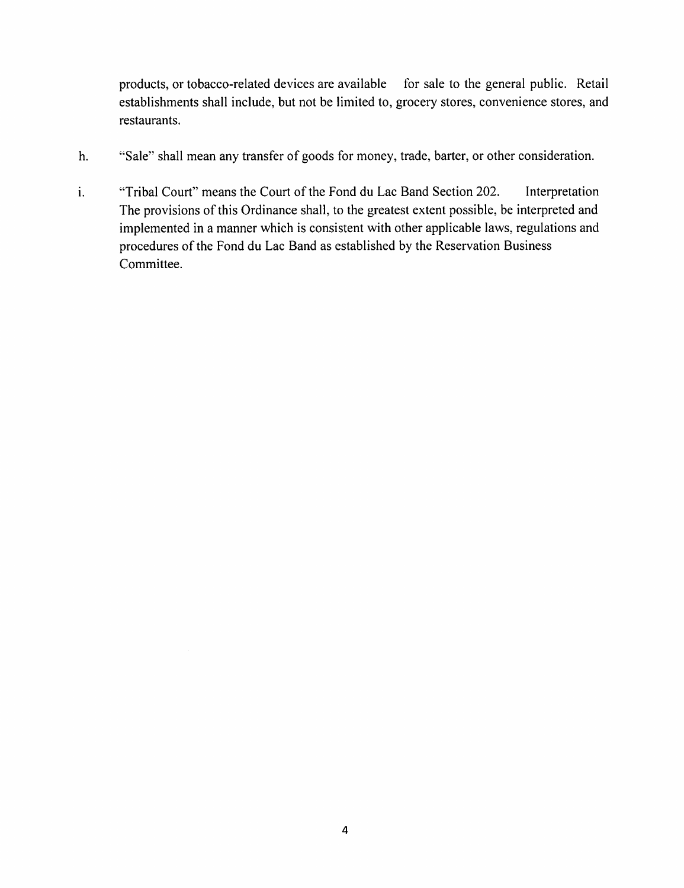products, or tobacco-related devices are available for sale to the general public. Retail establishments shall include, but not be limited to, grocery stores, convenience stores, and restaurants.

- "Sale" shall mean any transfer of goods for money, trade, barter, or other consideration. h.
- i. "Tribal Court" means the Court of the Fond du Lac Band Section 202. Interpretation The provisions of this Ordinance shall, to the greatest extent possible, be interpreted and implemented in a manner which is consistent with other applicable laws, regulations and procedures of the Fond du Lac Band as established by the Reservation Business Committee.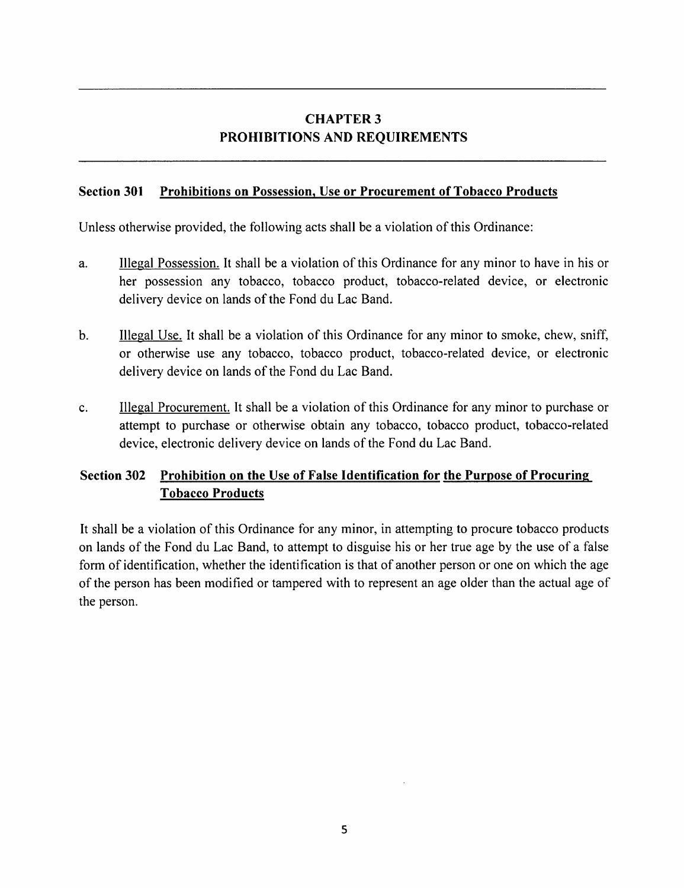# CHAPTER 3 PROHIBITIONS AND REQUIREMENTS

#### Section 301 Prohibitions on Possession, Use or Procurement of Tobacco Products

Unless otherwise provided, the following acts shall be a violation of this Ordinance:

- a. Illegal Possession. It shall be a violation of this Ordinance for any minor to have in his or her possession any tobacco, tobacco product, tobacco-related device, or electronic delivery device on lands of the Fond du Lac Band.
- b. Illegal Use. It shall be a violation of this Ordinance for any minor to smoke, chew, sniff, or otherwise use any tobacco, tobacco product, tobacco-related device, or electronic delivery device on lands of the Fond du Lac Band.
- c. Illegal Procurement. It shall be a violation of this Ordinance for any minor to purchase or attempt to purchase or otherwise obtain any tobacco, tobacco product, tobacco-related device, electronic delivery device on lands of the Fond du Lac Band.

### Section 302 Prohibition on the Use of False Identification for the Purpose of Procuring Tobacco Products

It shall be a violation of this Ordinance for any minor, in attempting to procure tobacco products on lands of the Fond du Lac Band, to attempt to disguise his or her true age by the use of a false form of identification, whether the identification is that of another person or one on which the age of the person has been modified or tampered with to represent an age older than the actual age of the person.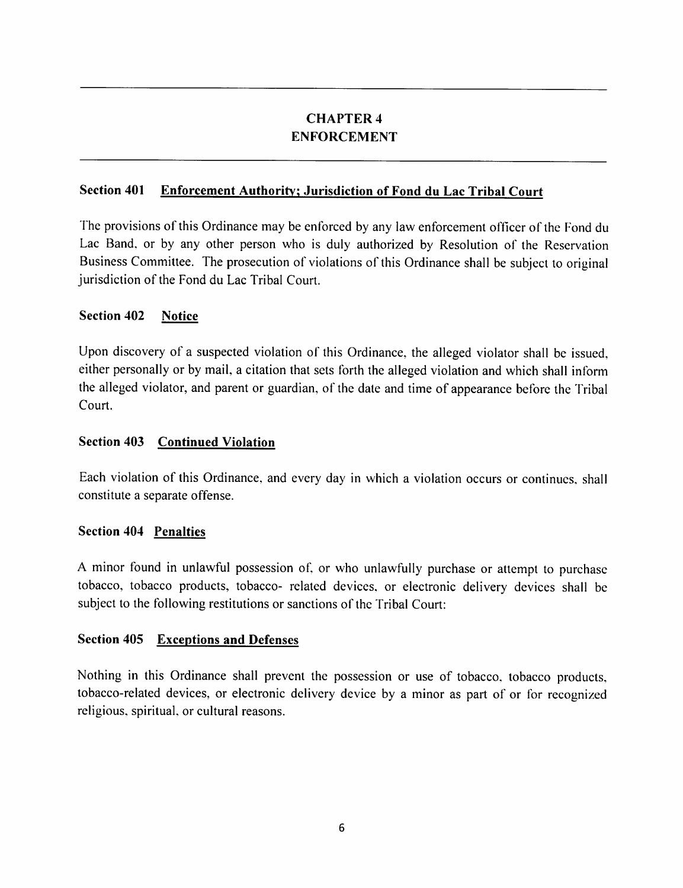## CHAPTER 4 ENFORCEMENT

### Section 401 Enforcement Authority; Jurisdiction of Fond du Lac Tribal Court

The provisions of this Ordinance may be enforced by any law enforcement officer of the Fond du Lac Band, or by any other person who is duly authorized by Resolution of the Reservation Business Committee. The prosecution of violations of this Ordinance shall be subject to original jurisdiction of the Fond du Lac Tribal Court.

### Section 402 Notice

Upon discovery of a suspected violation of this Ordinance, the alleged violator shall be issued, either personally or by mail, a citation that sets forth the alleged violation and which shall inform the alleged violator, and parent or guardian, of the date and time of appearance before the Tribal Court.

#### Section 403 Continued Violation

Each violation of this Ordinance, and every day in which a violation occurs or continues, shall constitute a separate offense.

### Section 404 Penalties

A minor found in unlawful possession of, or who unlawfully purchase or attempt to purchase tobacco, tobacco products, tobacco- related devices, or electronic delivery devices shall be subject to the following restitutions or sanctions of the Tribal Court:

### Section 405 Exceptions and Defenses

Nothing in this Ordinance shall prevent the possession or use of tobacco, tobacco products, tobacco-related devices, or electronic delivery device by a minor as part of or for recognized religious, spiritual, or cultural reasons.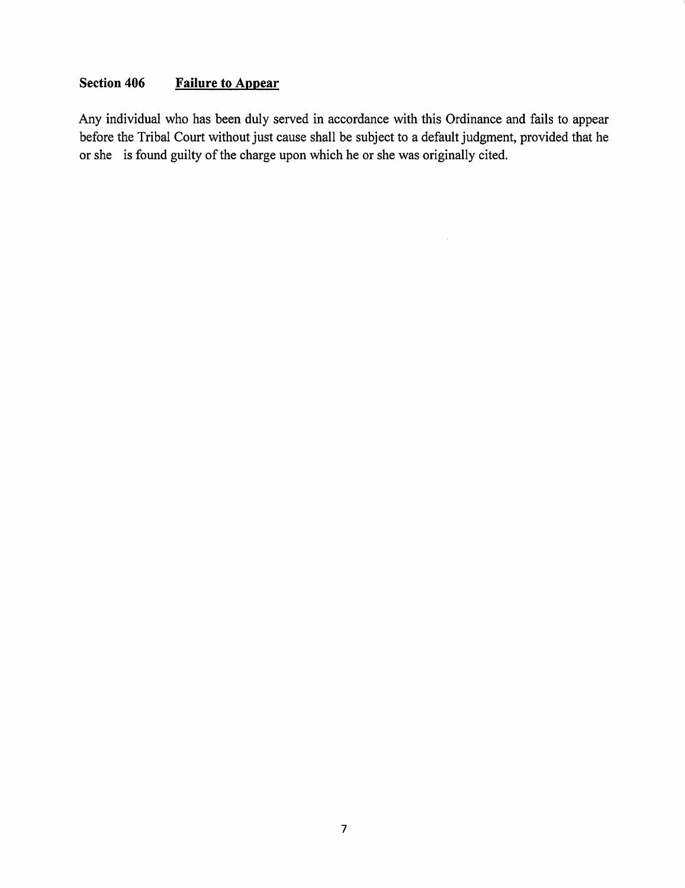# Section 406 Failure to Appear

Any individual who has been duly served in accordance with this Ordinance and fails to appear before the Tribal Court without just cause shall be subject to a default judgment, provided that he or she is found guilty of the charge upon which he or she was originally cited.

 $\sim$